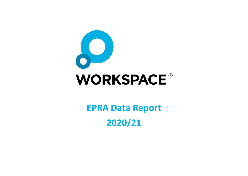

# **EPRA Data Report 2020/21**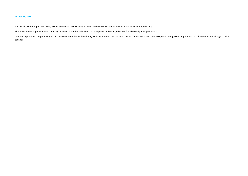### **INTRODUCTION**

We are pleased to report our 2019/20 environmental performance in line with the EPRA Sustainability Best Practice Recommendations.

This environmental performance summary includes all landlord-obtained utility supplies and managed waste for all directly managed assets.

In order to promote comparability for our investors and other stakeholders, we have opted to use the 2020 DEFRA conversion factors and to separate energy consumption that is sub-metered and charged back to tenants.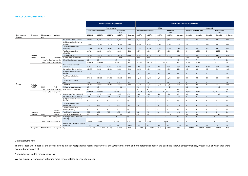#### **IMPACT CATEGORY: ENERGY**

The total absolute impact (as the portfolio stood in each year) analysis represents our total energy footprint from landlord obtained supply in the buildings that we directly manage, irrespective of when they were acquired or disposed of.

No buildings excluded for any concerns.

We are currently working on obtaining more tenant related energy information.

|               |                                                                  |                              |                                                          |                                        | <b>PORTFOLIO PERFORMANCE</b> |                                                 |                        |             |                |                | <b>PROPERTY TYPE PERFORMANCE</b>                |                |             |                |                            |                                                 |                      |              |          |  |
|---------------|------------------------------------------------------------------|------------------------------|----------------------------------------------------------|----------------------------------------|------------------------------|-------------------------------------------------|------------------------|-------------|----------------|----------------|-------------------------------------------------|----------------|-------------|----------------|----------------------------|-------------------------------------------------|----------------------|--------------|----------|--|
|               |                                                                  |                              |                                                          |                                        |                              |                                                 | <b>Total portfolio</b> |             |                | Office         |                                                 |                |             |                | Industrial                 |                                                 |                      |              |          |  |
|               |                                                                  |                              |                                                          |                                        |                              | Like-for-like<br><b>Absolute measures (Abs)</b> |                        |             |                |                | Like-for-like<br><b>Absolute measures (Abs)</b> |                |             |                |                            | Like-for-like<br><b>Absolute measures (Abs)</b> |                      |              |          |  |
|               |                                                                  |                              |                                                          |                                        |                              |                                                 |                        | (LfL)       |                | (LfL)          |                                                 |                |             |                | (LfL)                      |                                                 |                      |              |          |  |
| Environmental | <b>EPRA code</b>                                                 | Measurement                  | Indicator                                                |                                        | 2019/20                      | 2020/21                                         | 2019/20                | 2020/21     | % change       | 2019/20        | 2020/21                                         | 2019/20        | 2020/21     | % change       | 2019/20                    | 2020/21                                         | 2019/20              | 2020/21      | % change |  |
| impacts       |                                                                  | unit                         |                                                          |                                        |                              |                                                 |                        |             |                |                |                                                 |                |             |                |                            |                                                 |                      |              |          |  |
|               |                                                                  |                              |                                                          | for landlord shared services           | 11,000                       | 9,055                                           | 10,847                 | 9,055       | $-17%$         | 10,824         | 8,847                                           | 10,671         | 8,847       | $-17%$         | 176                        | 209                                             | 176                  | 209          | 19%      |  |
|               |                                                                  |                              |                                                          | (sub)metered exclusively to            |                              |                                                 |                        |             |                |                |                                                 |                |             |                |                            |                                                 |                      |              |          |  |
|               |                                                                  |                              |                                                          | tenants                                | 16,468                       | 10,560                                          | 16,114                 | 10,560      | $-34%$         | 16,368         | 10,362                                          | 16,014         | 10,362      | $-35%$         | 100                        | 197                                             | 100                  | 197          | 98%      |  |
|               |                                                                  |                              |                                                          | Total landlord-obtained<br>electricity | 27,468                       | 19,615                                          | 26,961                 | 19,615      | $-27%$         | 27,193         | 19,209                                          | 26,685         | 19,209      | $-28%$         | 276                        | 406                                             | 276                  | 406          | 47%      |  |
|               |                                                                  |                              |                                                          | Total tenant-obtained                  | 1,676                        | 1,039                                           | 1,676                  | 1,039       | $-38%$         | 1,676          | 1,039                                           | 1,676          | 1,039       | $-38%$         | $\mathbf{0}$               | 1,084                                           | $\Omega$             | 1,084        | 0%       |  |
|               |                                                                  |                              |                                                          | electricity                            |                              |                                                 |                        |             |                |                |                                                 |                |             |                |                            |                                                 |                      |              |          |  |
|               | Elec-Abs,                                                        |                              |                                                          | <b>Total electricity</b>               | 29,144                       | 20,654                                          | 28,637                 | 20,654      | $-28%$         | 28,869         | 20,248                                          | 28,361         | 20,248      | $-29%$         | 276                        | 406                                             | 276                  | 406          | 47%      |  |
|               | Elec-LfL                                                         | <b>MWh</b>                   | Electricity                                              | % from renewable sources               | 100%                         | 100%                                            |                        | 100%        |                | 100%           | 100%                                            |                | 100%        |                | 100%                       | 100%                                            |                      | 100%         |          |  |
|               | Nº of applicable properties                                      |                              | Electricity disclosure coverage                          | 63                                     | 57                           | 57<br>0%                                        |                        |             | 56             | 50             |                                                 | 50             | 0%          | $\overline{7}$ | $7^{\circ}$                |                                                 | $7^{\circ}$          | 0%           |          |  |
|               |                                                                  | sqm of applicable properties |                                                          |                                        | 374,603<br>373,585           |                                                 |                        | 373,585     | 0%             | 347,441        | 346,423                                         |                | 346,423     | 0%             | 27,162                     | 27,162                                          |                      | 27,162       | 0%       |  |
|               |                                                                  |                              |                                                          | Proportion of electricity              |                              |                                                 |                        |             |                |                |                                                 |                |             |                |                            |                                                 |                      |              |          |  |
|               |                                                                  |                              | %                                                        | estimated                              | 2.5%                         | 0.6%                                            | 2.6%                   | 0.6%        | $-78%$         | 2.2%           | 0.6%                                            | 2.2%           | 0.6%        | $-75%$         | 35.3%                      | 0.2%                                            | 35.3%                | 0.2%         | -99%     |  |
|               |                                                                  | for landlord shared services | 12,475                                                   | 9,628                                  | 12,324                       | 9,628                                           | $-22%$                 | 12,472      | 9,627          | 12,321         | 9,627                                           | $-22%$         | 2.7         | 0.1            | 2.7                        | 0.1                                             | -96%                 |              |          |  |
|               |                                                                  |                              |                                                          | (sub)metered exclusively to            |                              |                                                 |                        |             |                |                |                                                 |                |             |                |                            |                                                 |                      |              |          |  |
|               |                                                                  |                              |                                                          | tenants                                | 1,773                        | 1.701                                           | 1,773                  | 1.701       | $-4%$          | 1,773          | 1,701                                           | 1,773          | 1,701       | $-4%$          | $\mathbf{0}$               | $\Omega$                                        | $\Omega$             | $\mathbf{0}$ | 0%       |  |
|               |                                                                  |                              |                                                          | Total landlord-obtained<br>fuel        | 14,248                       | 11,329                                          | 14,097                 | 11,329      | $-20%$         | 14,245         | 11,328                                          | 14,094         | 11,328      | $-20%$         | 2.7                        | 0.1                                             | 2.7                  | 0.1          | -96%     |  |
|               |                                                                  |                              |                                                          | Total tenant-obtained                  |                              |                                                 |                        |             |                |                |                                                 |                |             |                |                            |                                                 |                      |              |          |  |
|               |                                                                  |                              |                                                          | fuel                                   | 512                          | 614                                             | 512                    | 614         | 20%            | 512            | 614                                             | 512            | 614         | 20%            | $\mathbf{0}$               | $\Omega$                                        | $\mathbf{0}$         | $\mathbf{0}$ | 0%       |  |
| <b>Energy</b> | Fuel-Abs,                                                        |                              |                                                          | <b>Total fuel</b>                      | 14,760                       | 11,942                                          | 14,609                 | 11,942      | $-18%$         | 14,758         | 11,942                                          | 14,606         | 11,942      | $-18%$         | 2.7                        | 0.1                                             | 2.7                  | 0.1          | -96%     |  |
|               | <b>Fuel-LfL</b>                                                  | MWh                          | Fuel                                                     | % from renewable sources               | 0%                           | 0%                                              |                        | 0%          |                | 0%             | 0%                                              |                | 0%          |                | 0%                         | 0%                                              |                      | 0%           |          |  |
|               |                                                                  | Nº of applicable properties  |                                                          | Fuel disclosure coverage               | 63                           | 57                                              |                        | 57          |                | 56             | 50                                              | 50<br>0%       |             |                | $\overline{7}$             | $\overline{7}$                                  | $\overline{7}$       |              | 0%       |  |
|               |                                                                  | sqm of applicable properties |                                                          |                                        | 374,603                      | 373,585                                         | 373,585                |             |                | 347,441        | 346,423                                         | 346,423        |             | 0%             | 27,162                     | 27,162<br>27,162                                |                      |              | 0%       |  |
|               |                                                                  |                              | %                                                        | Proportion of fuel estimated           | 1.4%                         | 1.5%                                            | 1.4%                   | 1.5%        | 6%             | 1.4%           | 1.5%                                            | 1.4%           | 1.5%        | 6%             | 0%                         | 0%                                              |                      | 0%           |          |  |
|               |                                                                  |                              |                                                          | for landlord shared services           | 738                          | 873                                             | 738                    | 873         | 18%            | 738            | 873                                             | 738            | 873         | 18%            | $\mathbf 0$                | $\Omega$                                        | $\Omega$             | $\Omega$     | 0%       |  |
|               |                                                                  |                              |                                                          | (sub)metered exclusively to            |                              |                                                 |                        |             |                |                |                                                 |                |             |                |                            |                                                 |                      |              |          |  |
|               |                                                                  |                              |                                                          | tenants                                | $\mathbf{0}$                 | $\mathbf 0$                                     | $\mathbf 0$            | $\mathbf 0$ | 0%             | $\mathbf 0$    | $\mathbf 0$                                     | $\mathbf 0$    | $\mathbf 0$ | 0%             | $\mathbf 0$                | 0                                               | $\Omega$             | $\Omega$     | 0%       |  |
|               |                                                                  |                              |                                                          | Total landlord-obtained                |                              |                                                 |                        |             |                |                |                                                 |                |             |                |                            |                                                 |                      |              |          |  |
|               |                                                                  |                              |                                                          | heating & cooling                      | 738                          | 873                                             | 738                    | 873         | 18%            | 738            | 873                                             | 738            | 873         | 18%            | $\mathbf{0}$               | $\Omega$                                        | $\Omega$             | $\Omega$     | 0%       |  |
|               |                                                                  |                              |                                                          | Total tenant-obtained                  |                              | $\Omega$                                        | $\Omega$               | $\Omega$    |                | $\Omega$       | $\Omega$                                        | $\Omega$       | $\Omega$    |                |                            | $\Omega$                                        |                      | $\Omega$     |          |  |
|               |                                                                  |                              | District                                                 | heating & cooling                      | $\Omega$<br>738              | 873                                             | 738                    | 873         | 0%<br>18%      |                | 873                                             | 738            | 873         | 0%<br>18%      | $\mathbf 0$<br>$\mathbf 0$ | $\Omega$                                        | $\Omega$<br>$\Omega$ | $\Omega$     | 0%<br>0% |  |
|               | DH&C-Abs.                                                        |                              | heating &                                                | Total heating & cooling                | 0%                           | 0%                                              |                        | 0%          |                | 738<br>0%      | 0%                                              |                | 0%          |                | 0%                         | 0%                                              |                      |              |          |  |
|               | DH&C LfL<br><b>MWh</b><br>cooling<br>Nº of applicable properties |                              | % from renewable sources<br>Heating & cooling disclosure | $\overline{3}$                         | $\overline{3}$               |                                                 | $\overline{3}$         | 0%          | $\overline{3}$ | $\overline{3}$ |                                                 | $\overline{3}$ | 0%          | $\mathbf{0}$   | $\Omega$                   | 0%<br>$\mathbf{0}$                              |                      | 0%           |          |  |
|               |                                                                  |                              | coverage                                                 |                                        |                              |                                                 |                        |             |                |                |                                                 |                |             |                |                            |                                                 |                      |              |          |  |
|               | sqm of applicable properties                                     |                              |                                                          |                                        | 31,884                       | 31,884                                          |                        | 31,884      | 0%             | 31,884         | 31,884                                          |                | 31,884      | 0%             | 0                          | 0                                               |                      | $\mathbf 0$  | 0%       |  |
|               |                                                                  |                              |                                                          | Proportion of heating & cooling        |                              |                                                 |                        |             |                |                |                                                 |                |             |                |                            |                                                 |                      |              |          |  |
|               |                                                                  |                              | %                                                        | estimated                              | 2.3%                         | 0%                                              | 2.3%                   | 0%          | $-100%$        | 2.3%           | 0%                                              | 2.3%           | 0%          | $-100%$        | 0%                         | 0%                                              | 0%                   | 0%           | 0%       |  |
|               | MWh/m2/year $ $ Energy Intensity<br>Energy-Int                   |                              |                                                          |                                        | 0.1133                       | 0.0852                                          | 0.1119                 | 0.0852      | $-24%$         | 0.1214         | 0.0907                                          | 0.1198         | 0.0907      | $-24%$         | 0.0102                     | 0.0150                                          | 0.0102               | 0.0150       | 46%      |  |

## Data qualifying note: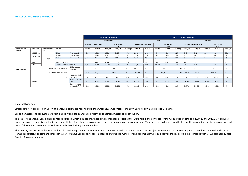#### **IMPACT CATEGORY: GHG EMISSIONS**

|                          |                                                 |                                                           |                             |               | <b>PORTFOLIO PERFORMANCE</b> |                                                          |                        |         |          | <b>PROPERTY TYPE PERFORMANCE</b> |                                                          |         |         |          |                                                          |         |         |         |          |
|--------------------------|-------------------------------------------------|-----------------------------------------------------------|-----------------------------|---------------|------------------------------|----------------------------------------------------------|------------------------|---------|----------|----------------------------------|----------------------------------------------------------|---------|---------|----------|----------------------------------------------------------|---------|---------|---------|----------|
|                          |                                                 |                                                           |                             |               |                              |                                                          | <b>Total portfolio</b> |         |          |                                  |                                                          | Office  |         |          | Industrial                                               |         |         |         |          |
|                          |                                                 |                                                           |                             |               |                              | Like-for-like<br><b>Absolute measures (Abs)</b><br>(LfL) |                        |         |          |                                  | Like-for-like<br><b>Absolute measures (Abs)</b><br>(LfL) |         |         |          | <b>Absolute measures (Abs)</b><br>Like-for-like<br>(LfL) |         |         |         |          |
| Environmental<br>impacts | <b>EPRA code</b>                                | Measurement<br>unit                                       | Indicator                   |               | 2019/20                      | 2020/21                                                  | 2019/20                | 2020/21 | % change | 2019/20                          | 2020/21                                                  | 2019/20 | 2020/21 | % change | 2019/20                                                  | 2020/21 | 2019/20 | 2020/21 | % change |
|                          | GHG-Dir-Abs                                     |                                                           | <b>Direct</b>               | Total Scope 1 | 2,620                        | 2,028                                                    | 2,592                  | 2,028   | $-22%$   | 2,619                            | 2,028                                                    | 2,591   | 2,028   | $-22%$   | 0.49                                                     | 0.02    | 0.49    | 0.02    | $-96%$   |
|                          |                                                 | tCO <sup>2</sup>                                          | Indirect                    | Total Scope 2 | 7,151                        | 4,724                                                    | 7,021                  | 4.724   | $-33%$   | 7,080                            | 4,629                                                    | 6,951   | 4,629   | $-33%$   | 70                                                       | 95      | 70      | 95      | 34%      |
|                          | GHG-Ind-Abs                                     |                                                           | Indirect                    | Total Scope 3 | 1,162                        | 777                                                      | 1,151                  | 777     | $-32%$   | 1,156                            | 769                                                      | 1,145   | 769     | $-33%$   |                                                          | 8       | 6       | 8       | 36%      |
|                          | Total                                           |                                                           | Scope 1 + Scope 2           |               | 9,770                        | 6,752                                                    | 9,613                  | 6.752   | $-30%$   | 9,699                            | 6,657                                                    | 9,542   | 6,657   | $-30%$   | 71                                                       | 95      | 71      | 95      | 34%      |
|                          | Total                                           |                                                           | Scope 1 + Scope 2 + Scope 3 |               | 10,932                       | 7,529                                                    | 10,764                 | 7,529   | $-30%$   | 10,855                           | 7,426                                                    | 10,687  | 7,426   | $-31%$   | 77                                                       | 103     | 77      | 103     | 34%      |
| <b>GHG emissions</b>     |                                                 | GHG disclosure<br>Nº of applicable properties<br>coverage |                             |               |                              | 57                                                       |                        | 57      | 0%       | 56                               | 50                                                       |         | 50      | 0%       |                                                          |         |         |         | 0%       |
|                          |                                                 | m2 of applicable properties                               |                             |               |                              | 373,585                                                  |                        | 373,585 | 0%       | 347,441                          | 346,423                                                  |         | 346,423 | $0\%$    | 27,162                                                   | 27,162  |         | 27,162  | 0%       |
|                          |                                                 | Proportion of GHG<br>%<br>estimated                       |                             |               |                              | 0.6%                                                     | 1.7%                   | 0.6%    | $-64%$   | 1.6%                             | 0.6%                                                     | 1.6%    | 0.6%    | $-59%$   | 5.5%                                                     | 0.1%    | 5.5%    | 0.1%    | -99%     |
|                          | GHG-Int                                         | (Scope 1+ scope 2)<br>/m <sup>2</sup>                     |                             |               | 0.0261                       | 0.0181                                                   | 0.0257                 | 0.0181  | $-30%$   | 0.0279                           | 0.0192                                                   | 0.0275  | 0.0192  | $-30%$   | 0.0026                                                   | 0.0035  | 0.0026  | 0.0035  | 34%      |
|                          | (Scope 1+ scope<br>0.0292<br>2+ Scope 3) / $m2$ |                                                           |                             |               |                              | 0.0202                                                   | 0.0288                 | 0.0202  | $-30%$   | 0.0312                           | 0.0214                                                   | 0.0308  | 0.0214  | $-31%$   | 0.1772                                                   | 0.1482  | 0.0028  | 0.0038  | 34%      |

The intensity metrics divide the total landlord obtained energy, water, or total emitted CO2 emissions with the related net lettable area (any sub-metered tenant consumption has not been removed or shown as itemised separately). To compare consecutive years, we have used consistent area data and ensured the numerator and denominator were as closely aligned as possible in accordance with EPRA Sustainability Best Practice Recommendations.

#### Data qualifying note:

Emissions factors are based on DEFRA guidance. Emissions are reported using the Greenhouse Gas Protocol and EPRA Sustainability Best Practice Guidelines.

Scope 3 emissions include customer direct electricity and gas, as well as electricity and heat transmission and distribution.

The like-for-like analysis uses a static portfolio approach, which includes only those directly-managed properties that were held in the portfolios for the full duration of both and 2019/20 and 2020/21. It excludes properties acquired and disposed of in the period. It therefore allows us to compare the same group of properties year-on-year. There were no exclusions from the like-for-like calculations due to data concerns and none of the data was estimated as we have actual whole building and tenant data.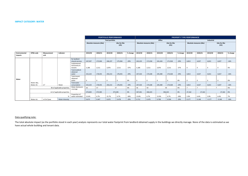#### **IMPACT CATEGORY: WATER**

The total absolute impact (as the portfolio stood in each year) analysis represents our total water footprint from landlord obtained supply in the buildings we directly manage. None of the data is estimated as we have actual whole building and tenant data.

|                          |                         |                                                   |                             |                                             |                                |                        | <b>PORTFOLIO PERFORMANCE</b> |          |                                |         | <b>PROPERTY TYPE PERFORMANCE</b> |          |          |                                |            |                        |          |          |          |  |
|--------------------------|-------------------------|---------------------------------------------------|-----------------------------|---------------------------------------------|--------------------------------|------------------------|------------------------------|----------|--------------------------------|---------|----------------------------------|----------|----------|--------------------------------|------------|------------------------|----------|----------|----------|--|
|                          |                         |                                                   |                             |                                             |                                | <b>Total portfolio</b> |                              |          |                                | Office  |                                  |          |          |                                | Industrial |                        |          |          |          |  |
|                          |                         |                                                   |                             |                                             | <b>Absolute measures (Abs)</b> |                        | Like-for-like<br>(LfL)       |          | <b>Absolute measures (Abs)</b> |         | Like-for-like<br>(LfL)           |          |          | <b>Absolute measures (Abs)</b> |            | Like-for-like<br>(LfL) |          |          |          |  |
| Environmental<br>impacts | <b>EPRA code</b>        | Measurement<br>unit                               | Indicator                   |                                             | 2019/20                        | 2020/21                | 2019/20                      | 2020/21  | % change                       | 2019/20 | 2020/21                          | 2019/20  | 2020/21  | % change                       | 2019/20    | 2020/21                | 2019/20  | 2020/21  | % change |  |
|                          |                         |                                                   |                             | for landlord<br>shared services             | 247,037                        | 175,944                | 246,237                      | 175,944  | $-29%$                         | 242,223 | 171,918                          | 241,424  | 171,918  | $-29%$                         | 4,813      | 4,027                  | 4,813    | 4,027    | $-16%$   |  |
|                          |                         |                                                   |                             | (sub)metered<br>exclusively to<br>tenants   | 5,186                          | 2,511                  | 3,976                        | 2,511    | $-37%$                         | 5,186   | 2,511                            | 3,976    | 2,511    | $-37%$                         | $\Omega$   | $\Omega$               | $\Omega$ | $\Omega$ | 0%       |  |
|                          |                         |                                                   |                             | <b>Total landlord-</b><br>obtained<br>water | 252,223                        | 178,455                | 250,213                      | 178,455  | $-29%$                         | 247,410 | 174,428                          | 245,400  | 174,428  | $-29%$                         | 4,813      | 4,027                  | 4,813    | 4,027    | $-16%$   |  |
| Water                    |                         |                                                   |                             | Total tenant-<br>obtained<br>water          | $\cap$                         | $\Omega$               | $\Omega$                     | $\Omega$ | 0%                             |         | $\Omega$                         | $\Omega$ | $\Omega$ | 0%                             |            | $\Omega$               | $\Omega$ |          | 0%       |  |
|                          | Water-Abs,<br>Water-LfL | m <sup>3</sup>                                    | Water                       | <b>Total water</b><br>consumption           | 252,223                        | 178,455                | 250,213                      | 178,455  | $-29%$                         | 247,410 | 174,428                          | 245,400  | 174,428  | $-29%$                         | 4,813      | 4,027                  | 4,813    | 4,027    | $-16%$   |  |
|                          |                         |                                                   | Nº of applicable properties | Water disclosure                            | 63                             | 57                     |                              | 57       | 0%                             | 56      | 50                               |          | 50       | 0%                             |            |                        |          |          | 0%       |  |
|                          |                         | coverage<br>m2 of applicable properties           |                             |                                             |                                | 373,585                |                              | 373,585  | 0%                             | 347,441 | 346,423                          |          | 346,423  | 0%                             | 27,162     | 27,162                 |          | 27,162   | 0%       |  |
|                          |                         | Proportion of<br>$\frac{9}{6}$<br>water estimated |                             |                                             | 15.6%                          | 6.7%                   | 15.7%                        | 6.7%     | $-58%$                         | 15.8%   | 6.7%                             | 15.9%    | 6.7%     | $-58%$                         | 5.9%       | 6.4%                   | 5.9%     | 6.4%     | 7%       |  |
|                          | Water-Int               | m <sup>3</sup> /m <sup>2</sup> /year              | Water Intensity             |                                             | 0.673                          | 0.447                  | 0.670                        | 0.478    | $-29%$                         | 0.712   | 0.470                            | 0.708    | 0.504    | $-29%$                         | 0.177      | 0.148                  | 0.177    | 0.148    | $-16%$   |  |

# Data qualifying note: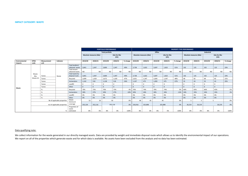## **IMPACT CATEGORY: WASTE**

|                          |                     |                                                       |                             |                                     |           |                                | <b>PORTFOLIO PERFORMANCE</b> |                        |           | <b>PROPERTY TYPE PERFORMANCE</b> |              |           |                        |           |           |                                |           |                        |           |  |
|--------------------------|---------------------|-------------------------------------------------------|-----------------------------|-------------------------------------|-----------|--------------------------------|------------------------------|------------------------|-----------|----------------------------------|--------------|-----------|------------------------|-----------|-----------|--------------------------------|-----------|------------------------|-----------|--|
|                          |                     |                                                       |                             |                                     |           |                                | <b>Total portfolio</b>       |                        |           | Office<br>Industrial             |              |           |                        |           |           |                                |           |                        |           |  |
|                          |                     |                                                       |                             |                                     |           | <b>Absolute measures (Abs)</b> |                              | Like-for-like<br>(LfL) |           | <b>Absolute measures (Abs)</b>   |              |           | Like-for-like<br>(LfL) |           |           | <b>Absolute measures (Abs)</b> |           | Like-for-like<br>(LfL) |           |  |
| Environmental<br>impacts | <b>EPRA</b><br>code | Measurement<br>unit                                   | Indicator                   |                                     | 2019/20   | 2020/21                        | 2019/20                      | 2020/21                | % change  | 2019/20                          | 2020/21      | 2019/20   | 2020/21                | % change  | 2019/20   | 2020/21                        | 2019/20   | 2020/21                | % change  |  |
|                          |                     |                                                       |                             | Total landlord-<br>obtained waste   | 3,841     | 1,947                          | 3,800                        | 1,947                  | $-49%$    | 3,738                            | 1,822        | 3,697     | 1,822                  | $-51%$    | 102       | 125                            | 102       | 125                    | 23%       |  |
|                          |                     |                                                       | Waste                       | Total tenant-<br>obtained waste     | <b>ND</b> | <b>ND</b>                      | <b>ND</b>                    | <b>ND</b>              | <b>ND</b> | <b>ND</b>                        | <b>ND</b>    | <b>ND</b> | <b>ND</b>              | <b>ND</b> | <b>ND</b> | <b>ND</b>                      | <b>ND</b> | <b>ND</b>              | <b>ND</b> |  |
|                          | Waste-<br>Abs,      | Tonne                                                 |                             | Total waste by<br>disposal route    | 3,841     | 1,947                          | 3,800                        | 1,947                  | $-49%$    | 3,738                            | 1,822        | 3,697     | 1,822                  | $-51%$    | 102       | 125                            | 102       | 125                    | 23%       |  |
|                          | Waste-LfL           | Tonne                                                 |                             | Recycled                            | 2,699     | 1,429                          | 2,672                        | 1,429                  | -47%      | 2,631                            | 1,347        | 2,604     | 1,347                  | -48%      | 68        | 82                             | 68        | 82                     | 21%       |  |
|                          |                     | Tonne                                                 |                             | Incineration                        | 1,142     | 518                            | 1,128                        | 518                    | $-54%$    | 1,107                            | 475          | 1,093     | 475                    | $-57%$    | 35        | 43                             | 35        | 43                     | 25%       |  |
|                          |                     | Tonne                                                 |                             | Landfill                            | $\Omega$  | 0                              | 0                            | $\mathbf 0$            |           | $\overline{0}$                   | $\mathbf 0$  | $\Omega$  | $\Omega$               |           | 0         | $\Omega$                       |           | 0                      |           |  |
|                          |                     | Tonne                                                 |                             | Other                               | $\Omega$  | $\mathbf{0}$                   | $\mathbf{0}$                 | $\Omega$               |           | $\Omega$                         | $\mathbf{0}$ | $\Omega$  | $\Omega$               |           |           | $\Omega$                       | $\Omega$  | $\mathbf 0$            |           |  |
| Waste                    |                     | %                                                     |                             | Recycled                            | 70%       | 73%                            | 70%                          | 73%                    | 4%        | 70%                              | 74%          | 70%       | 74%                    | 5%        | 66%       | 65%                            | 66%       | 65%                    | $-1%$     |  |
|                          |                     | %                                                     |                             | Incineration                        | 30%       | 27%                            | 30%                          | 27%                    | $-10%$    | 30%                              | 26%          | 30%       | 26%                    | $-12%$    | 34%       | 35%                            | 34%       | 35%                    | 2%        |  |
|                          |                     | %                                                     |                             | Landfill                            | 0%        | 0%                             | 0%                           | 0%                     |           | 0%                               | 0%           | 0%        | 0%                     |           | 0%        | 0%                             | 0%        | 0%                     |           |  |
|                          |                     | %                                                     |                             | Other                               | 0%        | 0%                             | 0%                           | 0%                     |           | 0%                               | 0%           | 0%        | 0%                     |           | 0%        | 0%                             | 0%        | 0%                     |           |  |
|                          |                     |                                                       | Nº of applicable properties | Waste                               | 53        | 50                             |                              | 50                     | 0%        | 48                               | 45           |           | 45                     | 0%        | -5        | 5                              |           | 5                      | 0%        |  |
|                          |                     | disclosure<br>coverage<br>m2 of applicable properties |                             |                                     | 353,134   | 352,116                        |                              | 352,116                | 0%        | 326,916                          | 325,898      |           | 325,898                | 0%        | 26,219    | 26,219                         |           | 26,219                 | 0%        |  |
|                          |                     |                                                       | %                           | Proportion of<br>waste<br>estimated | 8%        | 0%                             | 8%                           | 0%                     | $-100%$   | 8%                               | 0%           | 8%        | 0%                     | $-100%$   | 8%        | 0%                             | 8%        | 0%                     | $-100%$   |  |

# Data qualifying note:

We collect information for the waste generated in our directly managed assets. Data are provided by weight and immediate disposal route which allows us to identify the environmental impact of our operations. We report on all of the properties which generate waste and for which data is available. No assets have been excluded from the analysis and no data has been estimated.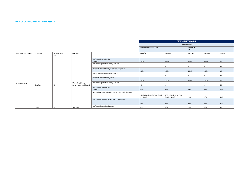#### **IMPACT CATEGORY: CERTIFIED ASSETS**

|                              |                  |                     |                           |                                                               |                                   |                            | <b>PORTFOLIO PERFORMANCE</b> |              |           |
|------------------------------|------------------|---------------------|---------------------------|---------------------------------------------------------------|-----------------------------------|----------------------------|------------------------------|--------------|-----------|
|                              |                  |                     |                           |                                                               |                                   |                            | <b>Total portfolio</b>       |              |           |
|                              |                  |                     |                           |                                                               | <b>Absolute measures (Abs)</b>    |                            |                              |              |           |
| <b>Environmental impacts</b> | <b>EPRA code</b> | Measurement<br>unit | Indicator                 |                                                               | 2019/20                           | 2020/21                    | 2019/20                      | 2020/21      | % change  |
|                              |                  |                     |                           | % of portfolio certified by                                   |                                   |                            |                              |              |           |
|                              |                  |                     |                           | floor area                                                    | 100%                              | 100%                       | 100%                         | 100%         | 0%        |
|                              |                  |                     |                           | level of energy performance (A,B,C etc)                       |                                   |                            |                              |              |           |
|                              |                  |                     |                           |                                                               |                                   | $\mathsf{C}$               | $\mathsf{C}$                 | C            | <b>ND</b> |
|                              |                  |                     |                           | % of portfolio certified by number of properties              |                                   |                            |                              |              |           |
|                              |                  |                     |                           |                                                               | 100%                              | 100%                       | 100%                         | 100%         | 0%        |
|                              |                  |                     |                           | level of energy performance (A,B,C etc)                       |                                   | $\mathsf{C}$               | $\mathsf{C}$                 | $\mathsf{C}$ | <b>ND</b> |
|                              |                  |                     |                           | % of portfolio certified by value                             |                                   |                            |                              |              |           |
|                              |                  |                     |                           |                                                               | 100%                              | 100%                       | 100%                         | 100%         | 0%        |
| <b>Certified assets</b>      |                  |                     | <b>Mandatory (Energy</b>  | level of energy performance (A,B,C etc)                       |                                   |                            |                              |              |           |
|                              | Cert-Tot         | %                   | Performance Certificates) |                                                               |                                   | $\mathsf{C}$               | $\mathsf{C}$                 | C            | <b>ND</b> |
|                              |                  |                     |                           | % of portfolio certified by                                   |                                   |                            |                              |              |           |
|                              |                  |                     |                           | floor area                                                    | 24%                               | 33%                        | 24%                          | 33%          | 39%       |
|                              |                  |                     |                           | type and level of certification attained (i.e. LEED Platinum) |                                   |                            |                              |              |           |
|                              |                  |                     |                           |                                                               | 12 (6 x Excellent, 5 x Very Good, | 17 (8 x Excellent, 8x Very |                              |              |           |
|                              |                  |                     |                           |                                                               | 1 x Good)                         | Good, 1 Good)              | N/D                          | N/D          | N/D       |
|                              |                  |                     |                           | % of portfolio certified by number of properties              |                                   |                            |                              |              |           |
|                              |                  |                     |                           |                                                               | 19%                               | 30%                        | 19%                          | 30%          | 58&       |
|                              | Cert-Tot         | %                   | Voluntary                 | % of portfolio certified by value                             | N/D                               | N/D                        | N/D                          | N/D          | N/D       |